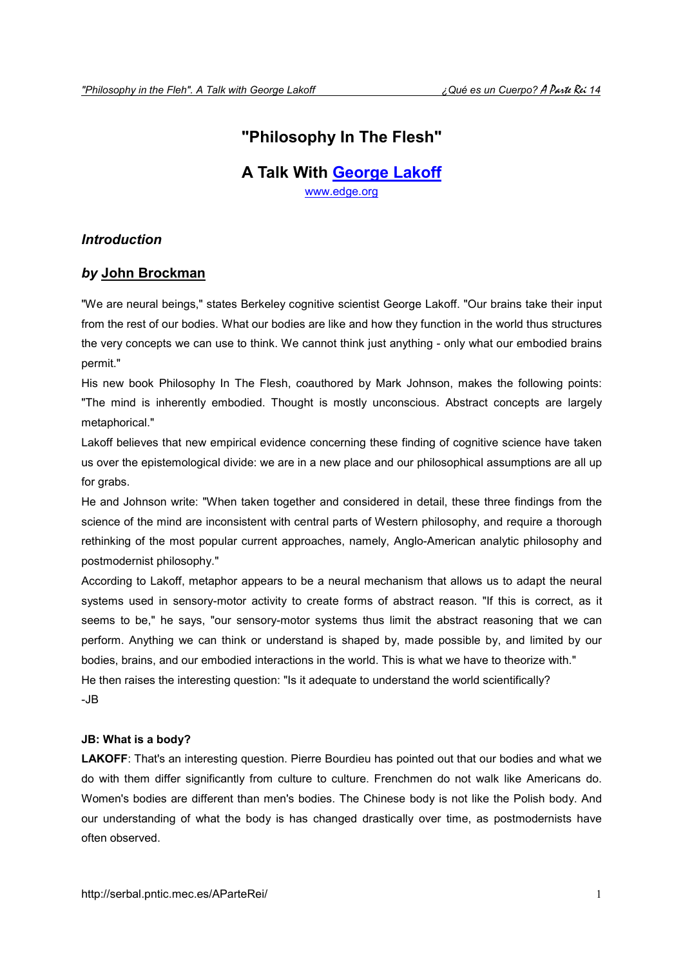# **"Philosophy In The Flesh"**

## **A Talk With [George Lakoff](http://serbal.pntic.mec.es/~cmunoz11/fuks.html#Lakoff)**

<www.edge.org>

### *Introduction*

#### *by* **[John Brockman](http://www.edge.org/documents/brockman.html)**

"We are neural beings," states Berkeley cognitive scientist George Lakoff. "Our brains take their input from the rest of our bodies. What our bodies are like and how they function in the world thus structures the very concepts we can use to think. We cannot think just anything - only what our embodied brains permit."

His new book Philosophy In The Flesh, coauthored by Mark Johnson, makes the following points: "The mind is inherently embodied. Thought is mostly unconscious. Abstract concepts are largely metaphorical."

Lakoff believes that new empirical evidence concerning these finding of cognitive science have taken us over the epistemological divide: we are in a new place and our philosophical assumptions are all up for grabs.

He and Johnson write: "When taken together and considered in detail, these three findings from the science of the mind are inconsistent with central parts of Western philosophy, and require a thorough rethinking of the most popular current approaches, namely, Anglo-American analytic philosophy and postmodernist philosophy."

According to Lakoff, metaphor appears to be a neural mechanism that allows us to adapt the neural systems used in sensory-motor activity to create forms of abstract reason. "If this is correct, as it seems to be," he says, "our sensory-motor systems thus limit the abstract reasoning that we can perform. Anything we can think or understand is shaped by, made possible by, and limited by our bodies, brains, and our embodied interactions in the world. This is what we have to theorize with." He then raises the interesting question: "Is it adequate to understand the world scientifically? -JB

#### **JB: What is a body?**

**LAKOFF**: That's an interesting question. Pierre Bourdieu has pointed out that our bodies and what we do with them differ significantly from culture to culture. Frenchmen do not walk like Americans do. Women's bodies are different than men's bodies. The Chinese body is not like the Polish body. And our understanding of what the body is has changed drastically over time, as postmodernists have often observed.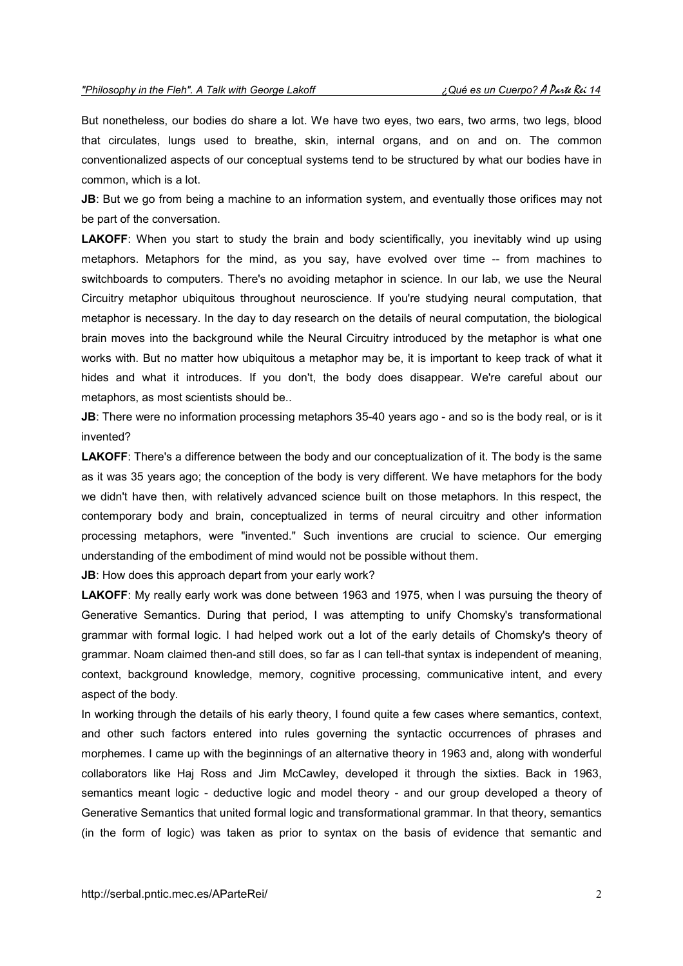But nonetheless, our bodies do share a lot. We have two eyes, two ears, two arms, two legs, blood that circulates, lungs used to breathe, skin, internal organs, and on and on. The common conventionalized aspects of our conceptual systems tend to be structured by what our bodies have in common, which is a lot.

**JB:** But we go from being a machine to an information system, and eventually those orifices may not be part of the conversation.

LAKOFF: When you start to study the brain and body scientifically, you inevitably wind up using metaphors. Metaphors for the mind, as you say, have evolved over time -- from machines to switchboards to computers. There's no avoiding metaphor in science. In our lab, we use the Neural Circuitry metaphor ubiquitous throughout neuroscience. If you're studying neural computation, that metaphor is necessary. In the day to day research on the details of neural computation, the biological brain moves into the background while the Neural Circuitry introduced by the metaphor is what one works with. But no matter how ubiquitous a metaphor may be, it is important to keep track of what it hides and what it introduces. If you don't, the body does disappear. We're careful about our metaphors, as most scientists should be..

**JB**: There were no information processing metaphors 35-40 years ago - and so is the body real, or is it invented?

**LAKOFF**: There's a difference between the body and our conceptualization of it. The body is the same as it was 35 years ago; the conception of the body is very different. We have metaphors for the body we didn't have then, with relatively advanced science built on those metaphors. In this respect, the contemporary body and brain, conceptualized in terms of neural circuitry and other information processing metaphors, were "invented." Such inventions are crucial to science. Our emerging understanding of the embodiment of mind would not be possible without them.

**JB**: How does this approach depart from your early work?

**LAKOFF**: My really early work was done between 1963 and 1975, when I was pursuing the theory of Generative Semantics. During that period, I was attempting to unify Chomsky's transformational grammar with formal logic. I had helped work out a lot of the early details of Chomsky's theory of grammar. Noam claimed then-and still does, so far as I can tell-that syntax is independent of meaning, context, background knowledge, memory, cognitive processing, communicative intent, and every aspect of the body.

In working through the details of his early theory, I found quite a few cases where semantics, context, and other such factors entered into rules governing the syntactic occurrences of phrases and morphemes. I came up with the beginnings of an alternative theory in 1963 and, along with wonderful collaborators like Haj Ross and Jim McCawley, developed it through the sixties. Back in 1963, semantics meant logic - deductive logic and model theory - and our group developed a theory of Generative Semantics that united formal logic and transformational grammar. In that theory, semantics (in the form of logic) was taken as prior to syntax on the basis of evidence that semantic and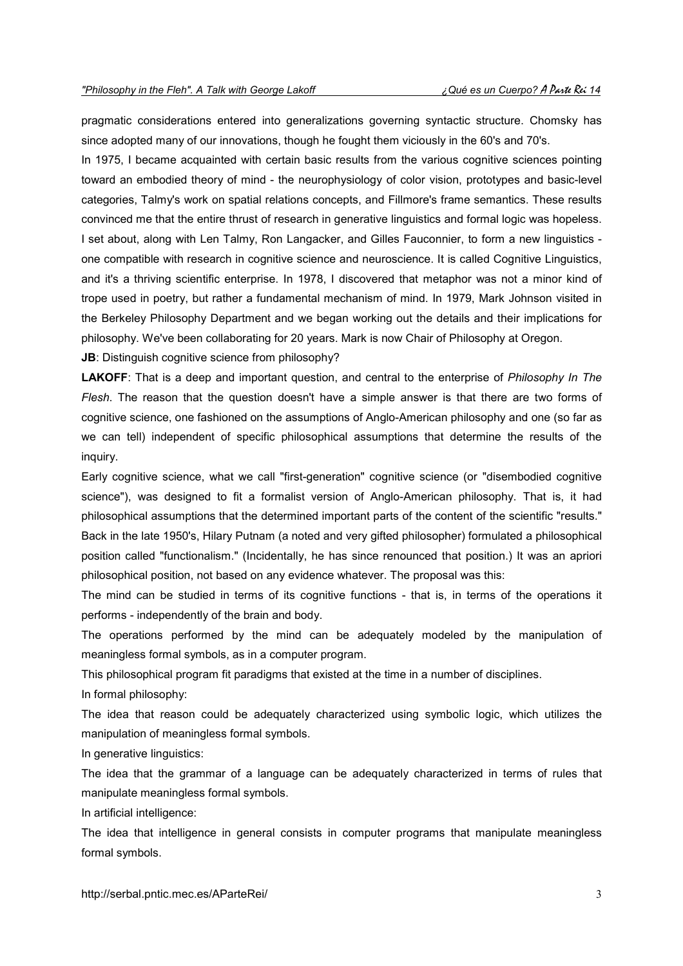pragmatic considerations entered into generalizations governing syntactic structure. Chomsky has since adopted many of our innovations, though he fought them viciously in the 60's and 70's.

In 1975, I became acquainted with certain basic results from the various cognitive sciences pointing toward an embodied theory of mind - the neurophysiology of color vision, prototypes and basic-level categories, Talmy's work on spatial relations concepts, and Fillmore's frame semantics. These results convinced me that the entire thrust of research in generative linguistics and formal logic was hopeless. I set about, along with Len Talmy, Ron Langacker, and Gilles Fauconnier, to form a new linguistics one compatible with research in cognitive science and neuroscience. It is called Cognitive Linguistics, and it's a thriving scientific enterprise. In 1978, I discovered that metaphor was not a minor kind of trope used in poetry, but rather a fundamental mechanism of mind. In 1979, Mark Johnson visited in the Berkeley Philosophy Department and we began working out the details and their implications for philosophy. We've been collaborating for 20 years. Mark is now Chair of Philosophy at Oregon.

**JB**: Distinguish cognitive science from philosophy?

**LAKOFF**: That is a deep and important question, and central to the enterprise of *Philosophy In The Flesh*. The reason that the question doesn't have a simple answer is that there are two forms of cognitive science, one fashioned on the assumptions of Anglo-American philosophy and one (so far as we can tell) independent of specific philosophical assumptions that determine the results of the inquiry.

Early cognitive science, what we call "first-generation" cognitive science (or "disembodied cognitive science"), was designed to fit a formalist version of Anglo-American philosophy. That is, it had philosophical assumptions that the determined important parts of the content of the scientific "results." Back in the late 1950's, Hilary Putnam (a noted and very gifted philosopher) formulated a philosophical position called "functionalism." (Incidentally, he has since renounced that position.) It was an apriori philosophical position, not based on any evidence whatever. The proposal was this:

The mind can be studied in terms of its cognitive functions - that is, in terms of the operations it performs - independently of the brain and body.

The operations performed by the mind can be adequately modeled by the manipulation of meaningless formal symbols, as in a computer program.

This philosophical program fit paradigms that existed at the time in a number of disciplines.

In formal philosophy:

The idea that reason could be adequately characterized using symbolic logic, which utilizes the manipulation of meaningless formal symbols.

In generative linguistics:

The idea that the grammar of a language can be adequately characterized in terms of rules that manipulate meaningless formal symbols.

In artificial intelligence:

The idea that intelligence in general consists in computer programs that manipulate meaningless formal symbols.

http://serbal.pntic.mec.es/AParteRei/ 3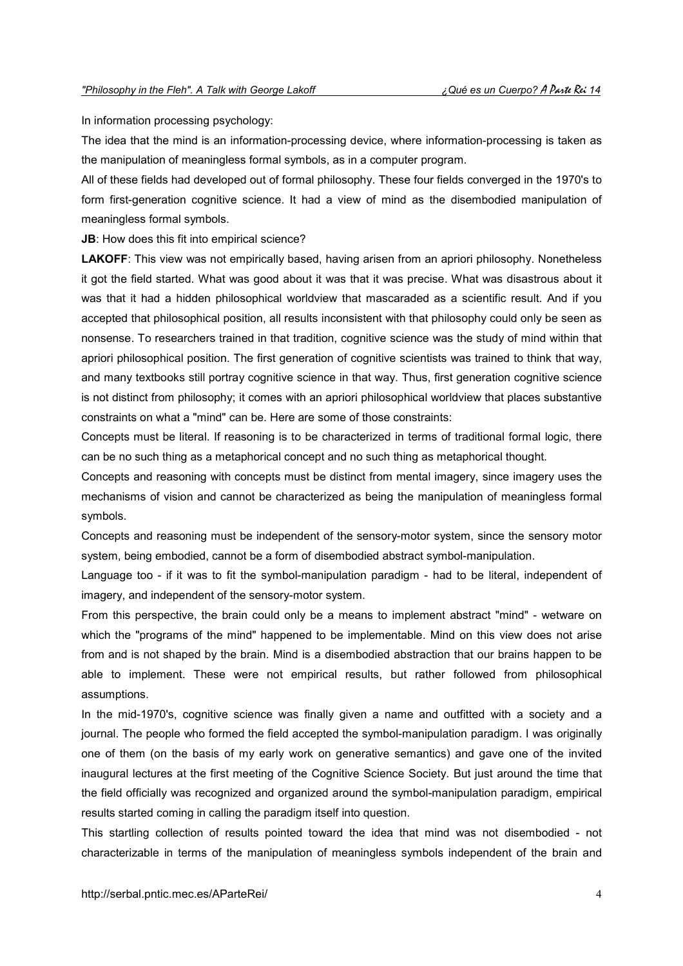In information processing psychology:

The idea that the mind is an information-processing device, where information-processing is taken as the manipulation of meaningless formal symbols, as in a computer program.

All of these fields had developed out of formal philosophy. These four fields converged in the 1970's to form first-generation cognitive science. It had a view of mind as the disembodied manipulation of meaningless formal symbols.

**JB:** How does this fit into empirical science?

**LAKOFF:** This view was not empirically based, having arisen from an apriori philosophy. Nonetheless it got the field started. What was good about it was that it was precise. What was disastrous about it was that it had a hidden philosophical worldview that mascaraded as a scientific result. And if you accepted that philosophical position, all results inconsistent with that philosophy could only be seen as nonsense. To researchers trained in that tradition, cognitive science was the study of mind within that apriori philosophical position. The first generation of cognitive scientists was trained to think that way, and many textbooks still portray cognitive science in that way. Thus, first generation cognitive science is not distinct from philosophy; it comes with an apriori philosophical worldview that places substantive constraints on what a "mind" can be. Here are some of those constraints:

Concepts must be literal. If reasoning is to be characterized in terms of traditional formal logic, there can be no such thing as a metaphorical concept and no such thing as metaphorical thought.

Concepts and reasoning with concepts must be distinct from mental imagery, since imagery uses the mechanisms of vision and cannot be characterized as being the manipulation of meaningless formal symbols.

Concepts and reasoning must be independent of the sensory-motor system, since the sensory motor system, being embodied, cannot be a form of disembodied abstract symbol-manipulation.

Language too - if it was to fit the symbol-manipulation paradigm - had to be literal, independent of imagery, and independent of the sensory-motor system.

From this perspective, the brain could only be a means to implement abstract "mind" - wetware on which the "programs of the mind" happened to be implementable. Mind on this view does not arise from and is not shaped by the brain. Mind is a disembodied abstraction that our brains happen to be able to implement. These were not empirical results, but rather followed from philosophical assumptions.

In the mid-1970's, cognitive science was finally given a name and outfitted with a society and a journal. The people who formed the field accepted the symbol-manipulation paradigm. I was originally one of them (on the basis of my early work on generative semantics) and gave one of the invited inaugural lectures at the first meeting of the Cognitive Science Society. But just around the time that the field officially was recognized and organized around the symbol-manipulation paradigm, empirical results started coming in calling the paradigm itself into question.

This startling collection of results pointed toward the idea that mind was not disembodied - not characterizable in terms of the manipulation of meaningless symbols independent of the brain and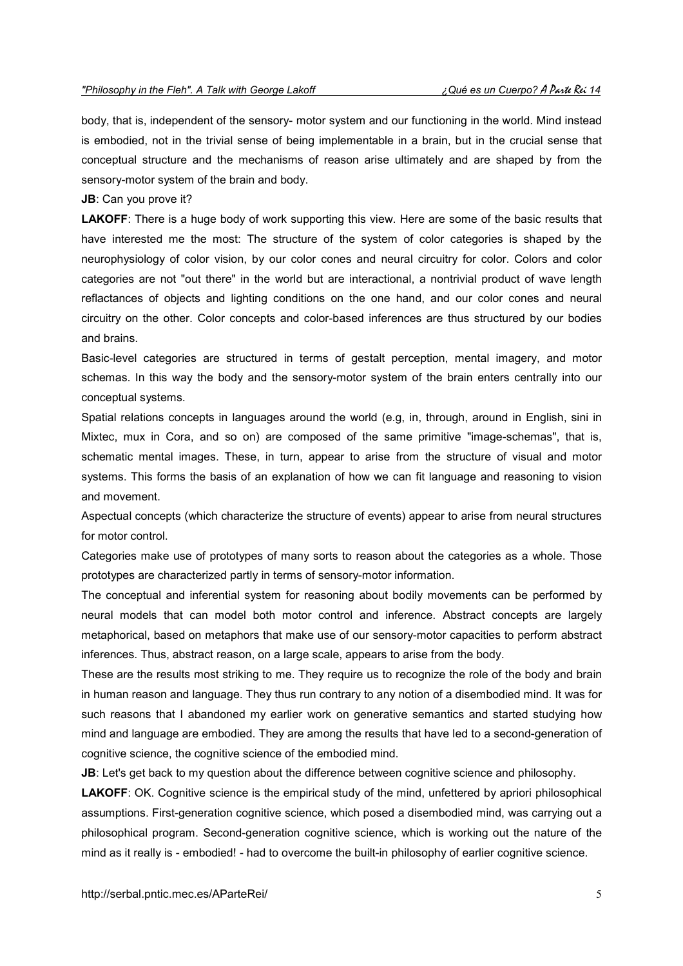body, that is, independent of the sensory- motor system and our functioning in the world. Mind instead is embodied, not in the trivial sense of being implementable in a brain, but in the crucial sense that conceptual structure and the mechanisms of reason arise ultimately and are shaped by from the sensory-motor system of the brain and body.

**JB**: Can you prove it?

LAKOFF: There is a huge body of work supporting this view. Here are some of the basic results that have interested me the most: The structure of the system of color categories is shaped by the neurophysiology of color vision, by our color cones and neural circuitry for color. Colors and color categories are not "out there" in the world but are interactional, a nontrivial product of wave length reflactances of objects and lighting conditions on the one hand, and our color cones and neural circuitry on the other. Color concepts and color-based inferences are thus structured by our bodies and brains.

Basic-level categories are structured in terms of gestalt perception, mental imagery, and motor schemas. In this way the body and the sensory-motor system of the brain enters centrally into our conceptual systems.

Spatial relations concepts in languages around the world (e.g, in, through, around in English, sini in Mixtec, mux in Cora, and so on) are composed of the same primitive "image-schemas", that is, schematic mental images. These, in turn, appear to arise from the structure of visual and motor systems. This forms the basis of an explanation of how we can fit language and reasoning to vision and movement.

Aspectual concepts (which characterize the structure of events) appear to arise from neural structures for motor control.

Categories make use of prototypes of many sorts to reason about the categories as a whole. Those prototypes are characterized partly in terms of sensory-motor information.

The conceptual and inferential system for reasoning about bodily movements can be performed by neural models that can model both motor control and inference. Abstract concepts are largely metaphorical, based on metaphors that make use of our sensory-motor capacities to perform abstract inferences. Thus, abstract reason, on a large scale, appears to arise from the body.

These are the results most striking to me. They require us to recognize the role of the body and brain in human reason and language. They thus run contrary to any notion of a disembodied mind. It was for such reasons that I abandoned my earlier work on generative semantics and started studying how mind and language are embodied. They are among the results that have led to a second-generation of cognitive science, the cognitive science of the embodied mind.

**JB:** Let's get back to my question about the difference between cognitive science and philosophy.

**LAKOFF**: OK. Cognitive science is the empirical study of the mind, unfettered by apriori philosophical assumptions. First-generation cognitive science, which posed a disembodied mind, was carrying out a philosophical program. Second-generation cognitive science, which is working out the nature of the mind as it really is - embodied! - had to overcome the built-in philosophy of earlier cognitive science.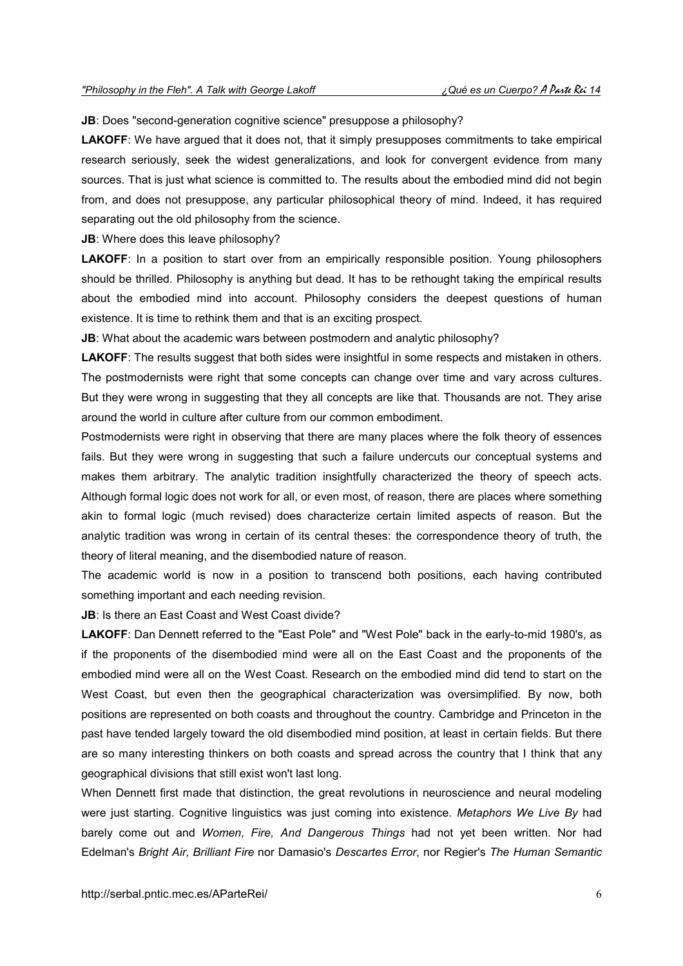**JB**: Does "second-generation cognitive science" presuppose a philosophy?

**LAKOFF:** We have argued that it does not, that it simply presupposes commitments to take empirical research seriously, seek the widest generalizations, and look for convergent evidence from many sources. That is just what science is committed to. The results about the embodied mind did not begin from, and does not presuppose, any particular philosophical theory of mind. Indeed, it has required separating out the old philosophy from the science.

**JB**: Where does this leave philosophy?

**LAKOFF:** In a position to start over from an empirically responsible position. Young philosophers should be thrilled. Philosophy is anything but dead. It has to be rethought taking the empirical results about the embodied mind into account. Philosophy considers the deepest questions of human existence. It is time to rethink them and that is an exciting prospect.

**JB**: What about the academic wars between postmodern and analytic philosophy?

LAKOFF: The results suggest that both sides were insightful in some respects and mistaken in others. The postmodernists were right that some concepts can change over time and vary across cultures. But they were wrong in suggesting that they all concepts are like that. Thousands are not. They arise around the world in culture after culture from our common embodiment.

Postmodernists were right in observing that there are many places where the folk theory of essences fails. But they were wrong in suggesting that such a failure undercuts our conceptual systems and makes them arbitrary. The analytic tradition insightfully characterized the theory of speech acts. Although formal logic does not work for all, or even most, of reason, there are places where something akin to formal logic (much revised) does characterize certain limited aspects of reason. But the analytic tradition was wrong in certain of its central theses: the correspondence theory of truth, the theory of literal meaning, and the disembodied nature of reason.

The academic world is now in a position to transcend both positions, each having contributed something important and each needing revision.

**JB:** Is there an East Coast and West Coast divide?

**LAKOFF**: Dan Dennett referred to the "East Pole" and "West Pole" back in the early-to-mid 1980's, as if the proponents of the disembodied mind were all on the East Coast and the proponents of the embodied mind were all on the West Coast. Research on the embodied mind did tend to start on the West Coast, but even then the geographical characterization was oversimplified. By now, both positions are represented on both coasts and throughout the country. Cambridge and Princeton in the past have tended largely toward the old disembodied mind position, at least in certain fields. But there are so many interesting thinkers on both coasts and spread across the country that I think that any geographical divisions that still exist won't last long.

When Dennett first made that distinction, the great revolutions in neuroscience and neural modeling were just starting. Cognitive linguistics was just coming into existence. *Metaphors We Live By* had barely come out and *Women, Fire, And Dangerous Things* had not yet been written. Nor had Edelman's *Bright Air, Brilliant Fire* nor Damasio's *Descartes Error*, nor Regier's *The Human Semantic*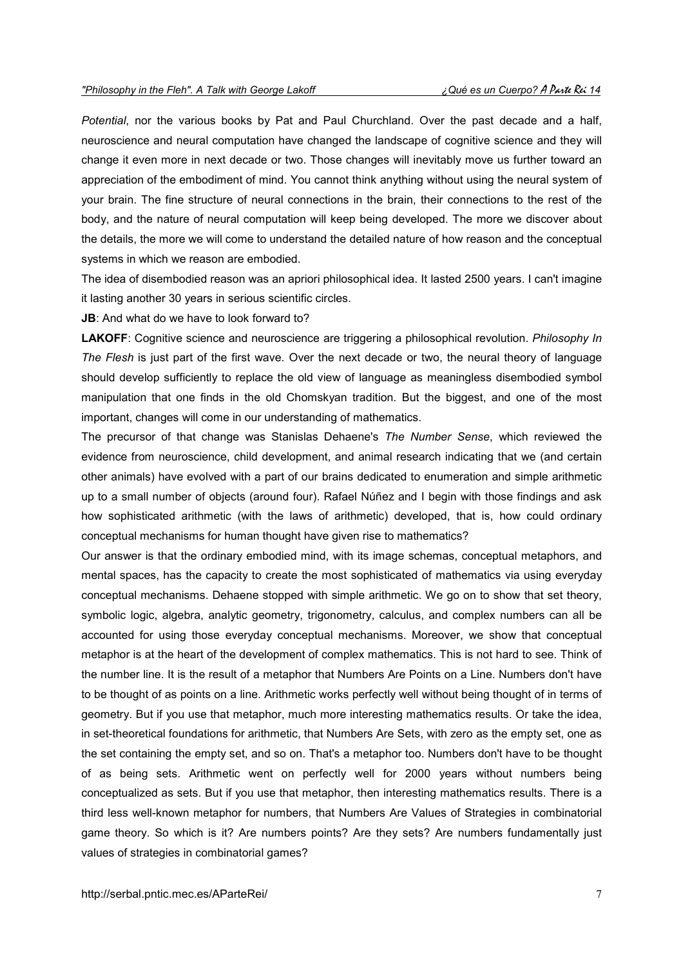*Potential*, nor the various books by Pat and Paul Churchland. Over the past decade and a half, neuroscience and neural computation have changed the landscape of cognitive science and they will change it even more in next decade or two. Those changes will inevitably move us further toward an appreciation of the embodiment of mind. You cannot think anything without using the neural system of your brain. The fine structure of neural connections in the brain, their connections to the rest of the body, and the nature of neural computation will keep being developed. The more we discover about the details, the more we will come to understand the detailed nature of how reason and the conceptual systems in which we reason are embodied.

The idea of disembodied reason was an apriori philosophical idea. It lasted 2500 years. I can't imagine it lasting another 30 years in serious scientific circles.

**JB**: And what do we have to look forward to?

**LAKOFF**: Cognitive science and neuroscience are triggering a philosophical revolution. *Philosophy In The Flesh* is just part of the first wave. Over the next decade or two, the neural theory of language should develop sufficiently to replace the old view of language as meaningless disembodied symbol manipulation that one finds in the old Chomskyan tradition. But the biggest, and one of the most important, changes will come in our understanding of mathematics.

The precursor of that change was Stanislas Dehaene's *The Number Sense*, which reviewed the evidence from neuroscience, child development, and animal research indicating that we (and certain other animals) have evolved with a part of our brains dedicated to enumeration and simple arithmetic up to a small number of objects (around four). Rafael Núñez and I begin with those findings and ask how sophisticated arithmetic (with the laws of arithmetic) developed, that is, how could ordinary conceptual mechanisms for human thought have given rise to mathematics?

Our answer is that the ordinary embodied mind, with its image schemas, conceptual metaphors, and mental spaces, has the capacity to create the most sophisticated of mathematics via using everyday conceptual mechanisms. Dehaene stopped with simple arithmetic. We go on to show that set theory, symbolic logic, algebra, analytic geometry, trigonometry, calculus, and complex numbers can all be accounted for using those everyday conceptual mechanisms. Moreover, we show that conceptual metaphor is at the heart of the development of complex mathematics. This is not hard to see. Think of the number line. It is the result of a metaphor that Numbers Are Points on a Line. Numbers don't have to be thought of as points on a line. Arithmetic works perfectly well without being thought of in terms of geometry. But if you use that metaphor, much more interesting mathematics results. Or take the idea, in set-theoretical foundations for arithmetic, that Numbers Are Sets, with zero as the empty set, one as the set containing the empty set, and so on. That's a metaphor too. Numbers don't have to be thought of as being sets. Arithmetic went on perfectly well for 2000 years without numbers being conceptualized as sets. But if you use that metaphor, then interesting mathematics results. There is a third less well-known metaphor for numbers, that Numbers Are Values of Strategies in combinatorial game theory. So which is it? Are numbers points? Are they sets? Are numbers fundamentally just values of strategies in combinatorial games?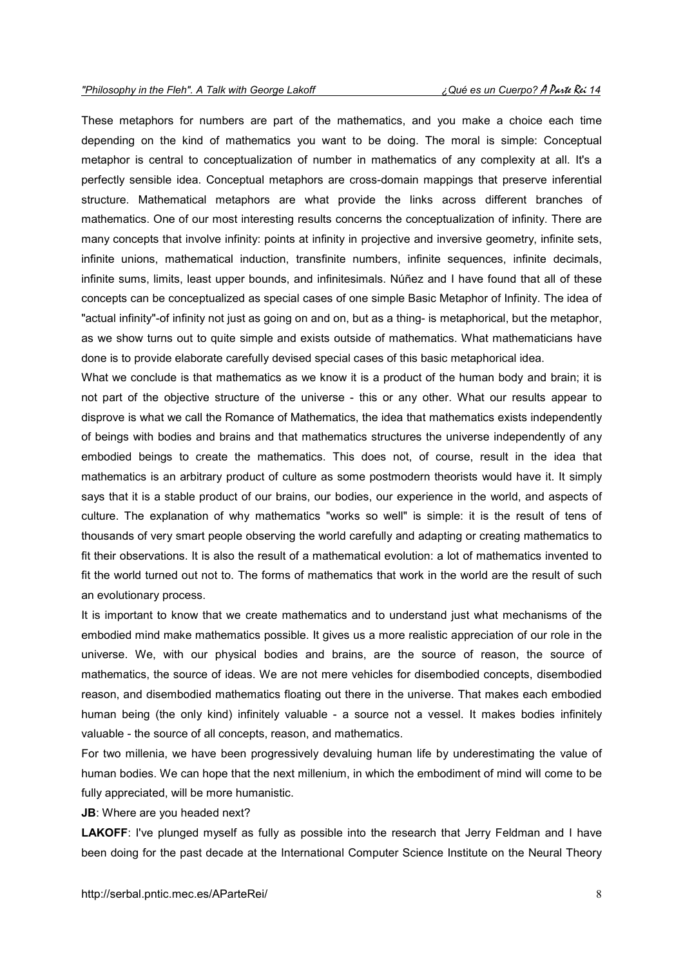These metaphors for numbers are part of the mathematics, and you make a choice each time depending on the kind of mathematics you want to be doing. The moral is simple: Conceptual metaphor is central to conceptualization of number in mathematics of any complexity at all. It's a perfectly sensible idea. Conceptual metaphors are cross-domain mappings that preserve inferential structure. Mathematical metaphors are what provide the links across different branches of mathematics. One of our most interesting results concerns the conceptualization of infinity. There are many concepts that involve infinity: points at infinity in projective and inversive geometry, infinite sets, infinite unions, mathematical induction, transfinite numbers, infinite sequences, infinite decimals, infinite sums, limits, least upper bounds, and infinitesimals. Núñez and I have found that all of these concepts can be conceptualized as special cases of one simple Basic Metaphor of Infinity. The idea of "actual infinity"-of infinity not just as going on and on, but as a thing- is metaphorical, but the metaphor, as we show turns out to quite simple and exists outside of mathematics. What mathematicians have done is to provide elaborate carefully devised special cases of this basic metaphorical idea.

What we conclude is that mathematics as we know it is a product of the human body and brain; it is not part of the objective structure of the universe - this or any other. What our results appear to disprove is what we call the Romance of Mathematics, the idea that mathematics exists independently of beings with bodies and brains and that mathematics structures the universe independently of any embodied beings to create the mathematics. This does not, of course, result in the idea that mathematics is an arbitrary product of culture as some postmodern theorists would have it. It simply says that it is a stable product of our brains, our bodies, our experience in the world, and aspects of culture. The explanation of why mathematics "works so well" is simple: it is the result of tens of thousands of very smart people observing the world carefully and adapting or creating mathematics to fit their observations. It is also the result of a mathematical evolution: a lot of mathematics invented to fit the world turned out not to. The forms of mathematics that work in the world are the result of such an evolutionary process.

It is important to know that we create mathematics and to understand just what mechanisms of the embodied mind make mathematics possible. It gives us a more realistic appreciation of our role in the universe. We, with our physical bodies and brains, are the source of reason, the source of mathematics, the source of ideas. We are not mere vehicles for disembodied concepts, disembodied reason, and disembodied mathematics floating out there in the universe. That makes each embodied human being (the only kind) infinitely valuable - a source not a vessel. It makes bodies infinitely valuable - the source of all concepts, reason, and mathematics.

For two millenia, we have been progressively devaluing human life by underestimating the value of human bodies. We can hope that the next millenium, in which the embodiment of mind will come to be fully appreciated, will be more humanistic.

**JB**: Where are you headed next?

LAKOFF: I've plunged myself as fully as possible into the research that Jerry Feldman and I have been doing for the past decade at the International Computer Science Institute on the Neural Theory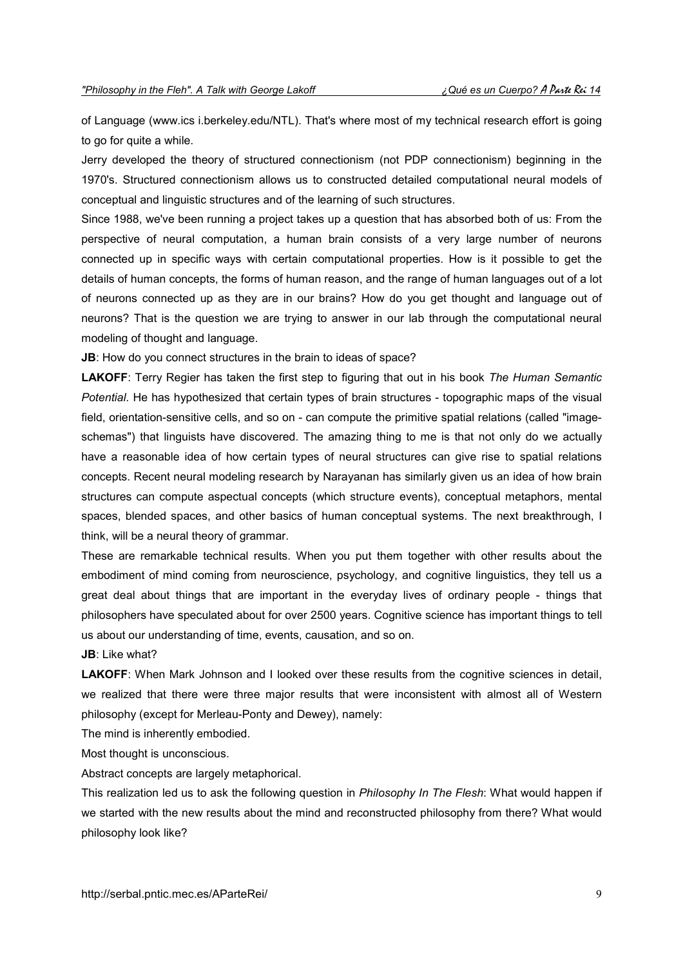of Language (www.ics i.berkeley.edu/NTL). That's where most of my technical research effort is going to go for quite a while.

Jerry developed the theory of structured connectionism (not PDP connectionism) beginning in the 1970's. Structured connectionism allows us to constructed detailed computational neural models of conceptual and linguistic structures and of the learning of such structures.

Since 1988, we've been running a project takes up a question that has absorbed both of us: From the perspective of neural computation, a human brain consists of a very large number of neurons connected up in specific ways with certain computational properties. How is it possible to get the details of human concepts, the forms of human reason, and the range of human languages out of a lot of neurons connected up as they are in our brains? How do you get thought and language out of neurons? That is the question we are trying to answer in our lab through the computational neural modeling of thought and language.

**JB**: How do you connect structures in the brain to ideas of space?

**LAKOFF**: Terry Regier has taken the first step to figuring that out in his book *The Human Semantic Potential*. He has hypothesized that certain types of brain structures - topographic maps of the visual field, orientation-sensitive cells, and so on - can compute the primitive spatial relations (called "imageschemas") that linguists have discovered. The amazing thing to me is that not only do we actually have a reasonable idea of how certain types of neural structures can give rise to spatial relations concepts. Recent neural modeling research by Narayanan has similarly given us an idea of how brain structures can compute aspectual concepts (which structure events), conceptual metaphors, mental spaces, blended spaces, and other basics of human conceptual systems. The next breakthrough, I think, will be a neural theory of grammar.

These are remarkable technical results. When you put them together with other results about the embodiment of mind coming from neuroscience, psychology, and cognitive linguistics, they tell us a great deal about things that are important in the everyday lives of ordinary people - things that philosophers have speculated about for over 2500 years. Cognitive science has important things to tell us about our understanding of time, events, causation, and so on.

**JB**: Like what?

LAKOFF: When Mark Johnson and I looked over these results from the cognitive sciences in detail, we realized that there were three major results that were inconsistent with almost all of Western philosophy (except for Merleau-Ponty and Dewey), namely:

The mind is inherently embodied.

Most thought is unconscious.

Abstract concepts are largely metaphorical.

This realization led us to ask the following question in *Philosophy In The Flesh*: What would happen if we started with the new results about the mind and reconstructed philosophy from there? What would philosophy look like?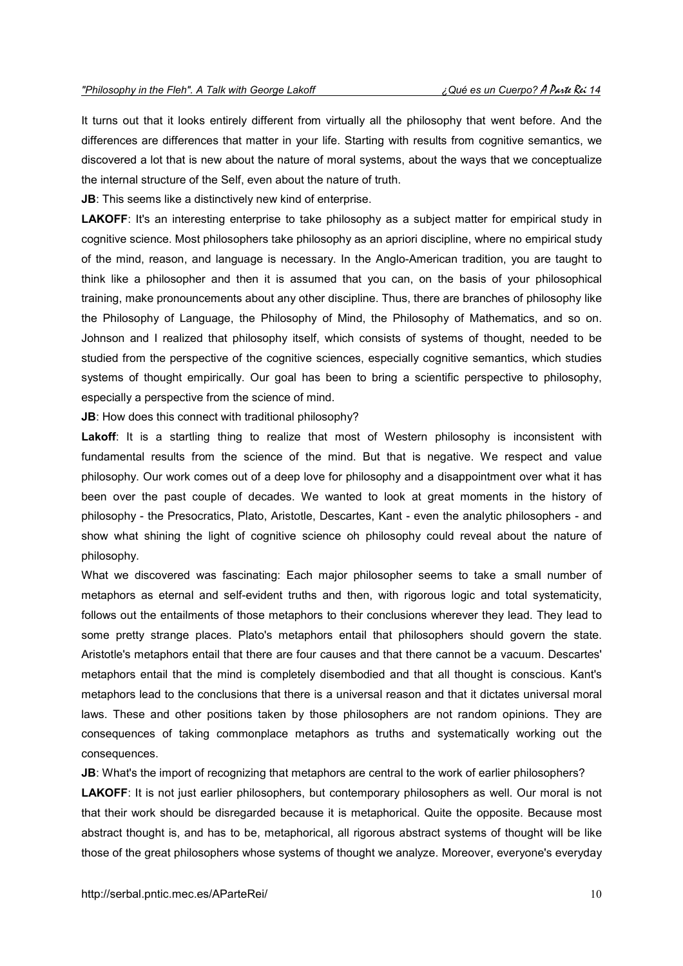It turns out that it looks entirely different from virtually all the philosophy that went before. And the differences are differences that matter in your life. Starting with results from cognitive semantics, we discovered a lot that is new about the nature of moral systems, about the ways that we conceptualize the internal structure of the Self, even about the nature of truth.

**JB**: This seems like a distinctively new kind of enterprise.

LAKOFF: It's an interesting enterprise to take philosophy as a subject matter for empirical study in cognitive science. Most philosophers take philosophy as an apriori discipline, where no empirical study of the mind, reason, and language is necessary. In the Anglo-American tradition, you are taught to think like a philosopher and then it is assumed that you can, on the basis of your philosophical training, make pronouncements about any other discipline. Thus, there are branches of philosophy like the Philosophy of Language, the Philosophy of Mind, the Philosophy of Mathematics, and so on. Johnson and I realized that philosophy itself, which consists of systems of thought, needed to be studied from the perspective of the cognitive sciences, especially cognitive semantics, which studies systems of thought empirically. Our goal has been to bring a scientific perspective to philosophy, especially a perspective from the science of mind.

**JB**: How does this connect with traditional philosophy?

Lakoff: It is a startling thing to realize that most of Western philosophy is inconsistent with fundamental results from the science of the mind. But that is negative. We respect and value philosophy. Our work comes out of a deep love for philosophy and a disappointment over what it has been over the past couple of decades. We wanted to look at great moments in the history of philosophy - the Presocratics, Plato, Aristotle, Descartes, Kant - even the analytic philosophers - and show what shining the light of cognitive science oh philosophy could reveal about the nature of philosophy.

What we discovered was fascinating: Each major philosopher seems to take a small number of metaphors as eternal and self-evident truths and then, with rigorous logic and total systematicity, follows out the entailments of those metaphors to their conclusions wherever they lead. They lead to some pretty strange places. Plato's metaphors entail that philosophers should govern the state. Aristotle's metaphors entail that there are four causes and that there cannot be a vacuum. Descartes' metaphors entail that the mind is completely disembodied and that all thought is conscious. Kant's metaphors lead to the conclusions that there is a universal reason and that it dictates universal moral laws. These and other positions taken by those philosophers are not random opinions. They are consequences of taking commonplace metaphors as truths and systematically working out the consequences.

**JB:** What's the import of recognizing that metaphors are central to the work of earlier philosophers?

**LAKOFF**: It is not just earlier philosophers, but contemporary philosophers as well. Our moral is not that their work should be disregarded because it is metaphorical. Quite the opposite. Because most abstract thought is, and has to be, metaphorical, all rigorous abstract systems of thought will be like those of the great philosophers whose systems of thought we analyze. Moreover, everyone's everyday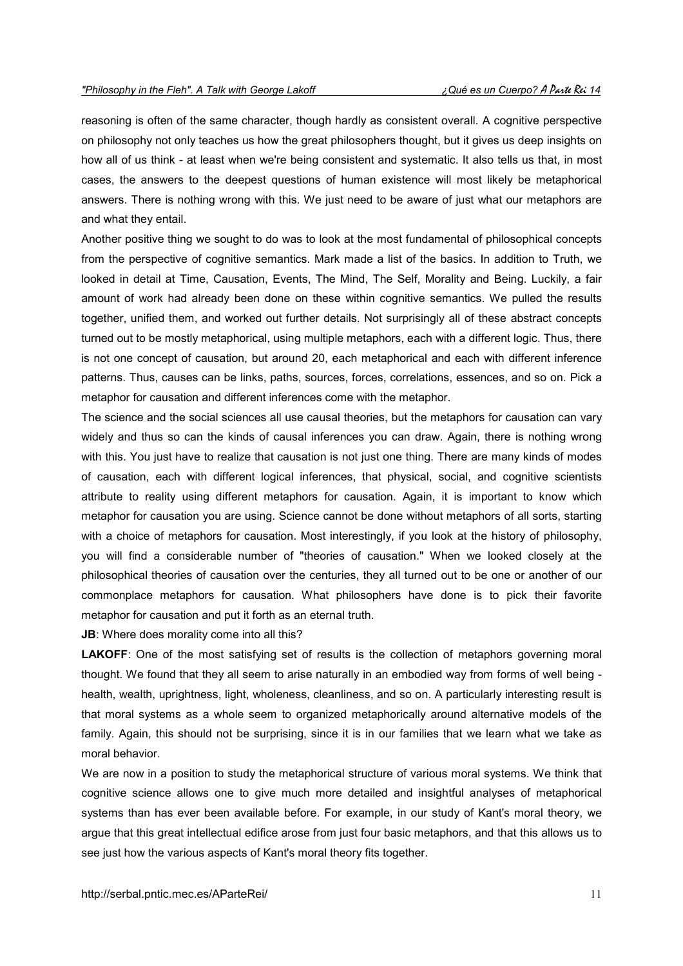reasoning is often of the same character, though hardly as consistent overall. A cognitive perspective on philosophy not only teaches us how the great philosophers thought, but it gives us deep insights on how all of us think - at least when we're being consistent and systematic. It also tells us that, in most cases, the answers to the deepest questions of human existence will most likely be metaphorical answers. There is nothing wrong with this. We just need to be aware of just what our metaphors are and what they entail.

Another positive thing we sought to do was to look at the most fundamental of philosophical concepts from the perspective of cognitive semantics. Mark made a list of the basics. In addition to Truth, we looked in detail at Time, Causation, Events, The Mind, The Self, Morality and Being. Luckily, a fair amount of work had already been done on these within cognitive semantics. We pulled the results together, unified them, and worked out further details. Not surprisingly all of these abstract concepts turned out to be mostly metaphorical, using multiple metaphors, each with a different logic. Thus, there is not one concept of causation, but around 20, each metaphorical and each with different inference patterns. Thus, causes can be links, paths, sources, forces, correlations, essences, and so on. Pick a metaphor for causation and different inferences come with the metaphor.

The science and the social sciences all use causal theories, but the metaphors for causation can vary widely and thus so can the kinds of causal inferences you can draw. Again, there is nothing wrong with this. You just have to realize that causation is not just one thing. There are many kinds of modes of causation, each with different logical inferences, that physical, social, and cognitive scientists attribute to reality using different metaphors for causation. Again, it is important to know which metaphor for causation you are using. Science cannot be done without metaphors of all sorts, starting with a choice of metaphors for causation. Most interestingly, if you look at the history of philosophy, you will find a considerable number of "theories of causation." When we looked closely at the philosophical theories of causation over the centuries, they all turned out to be one or another of our commonplace metaphors for causation. What philosophers have done is to pick their favorite metaphor for causation and put it forth as an eternal truth.

**JB**: Where does morality come into all this?

LAKOFF: One of the most satisfying set of results is the collection of metaphors governing moral thought. We found that they all seem to arise naturally in an embodied way from forms of well being health, wealth, uprightness, light, wholeness, cleanliness, and so on. A particularly interesting result is that moral systems as a whole seem to organized metaphorically around alternative models of the family. Again, this should not be surprising, since it is in our families that we learn what we take as moral behavior.

We are now in a position to study the metaphorical structure of various moral systems. We think that cognitive science allows one to give much more detailed and insightful analyses of metaphorical systems than has ever been available before. For example, in our study of Kant's moral theory, we argue that this great intellectual edifice arose from just four basic metaphors, and that this allows us to see just how the various aspects of Kant's moral theory fits together.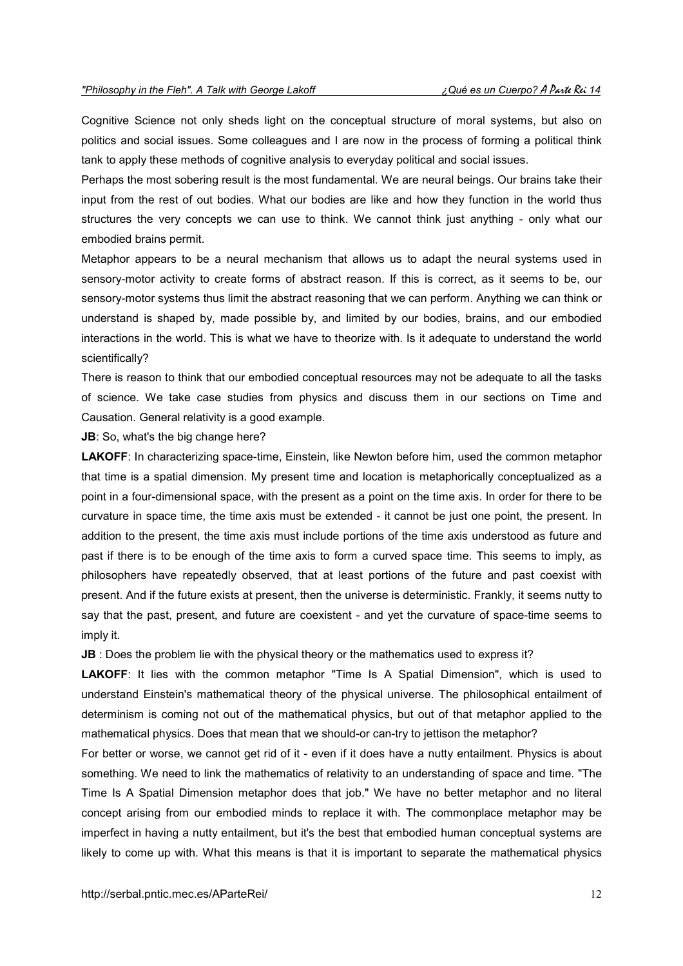Cognitive Science not only sheds light on the conceptual structure of moral systems, but also on politics and social issues. Some colleagues and I are now in the process of forming a political think tank to apply these methods of cognitive analysis to everyday political and social issues.

Perhaps the most sobering result is the most fundamental. We are neural beings. Our brains take their input from the rest of out bodies. What our bodies are like and how they function in the world thus structures the very concepts we can use to think. We cannot think just anything - only what our embodied brains permit.

Metaphor appears to be a neural mechanism that allows us to adapt the neural systems used in sensory-motor activity to create forms of abstract reason. If this is correct, as it seems to be, our sensory-motor systems thus limit the abstract reasoning that we can perform. Anything we can think or understand is shaped by, made possible by, and limited by our bodies, brains, and our embodied interactions in the world. This is what we have to theorize with. Is it adequate to understand the world scientifically?

There is reason to think that our embodied conceptual resources may not be adequate to all the tasks of science. We take case studies from physics and discuss them in our sections on Time and Causation. General relativity is a good example.

**JB**: So, what's the big change here?

**LAKOFF**: In characterizing space-time, Einstein, like Newton before him, used the common metaphor that time is a spatial dimension. My present time and location is metaphorically conceptualized as a point in a four-dimensional space, with the present as a point on the time axis. In order for there to be curvature in space time, the time axis must be extended - it cannot be just one point, the present. In addition to the present, the time axis must include portions of the time axis understood as future and past if there is to be enough of the time axis to form a curved space time. This seems to imply, as philosophers have repeatedly observed, that at least portions of the future and past coexist with present. And if the future exists at present, then the universe is deterministic. Frankly, it seems nutty to say that the past, present, and future are coexistent - and yet the curvature of space-time seems to imply it.

**JB** : Does the problem lie with the physical theory or the mathematics used to express it?

**LAKOFF**: It lies with the common metaphor "Time Is A Spatial Dimension", which is used to understand Einstein's mathematical theory of the physical universe. The philosophical entailment of determinism is coming not out of the mathematical physics, but out of that metaphor applied to the mathematical physics. Does that mean that we should-or can-try to jettison the metaphor?

For better or worse, we cannot get rid of it - even if it does have a nutty entailment. Physics is about something. We need to link the mathematics of relativity to an understanding of space and time. "The Time Is A Spatial Dimension metaphor does that job." We have no better metaphor and no literal concept arising from our embodied minds to replace it with. The commonplace metaphor may be imperfect in having a nutty entailment, but it's the best that embodied human conceptual systems are likely to come up with. What this means is that it is important to separate the mathematical physics